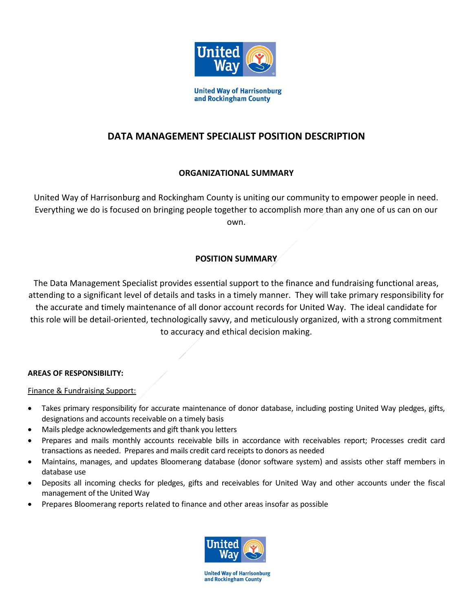

# **DATA MANAGEMENT SPECIALIST POSITION DESCRIPTION**

# **ORGANIZATIONAL SUMMARY**

United Way of Harrisonburg and Rockingham County is uniting our community to empower people in need. Everything we do is focused on bringing people together to accomplish more than any one of us can on our own.

# **POSITION SUMMARY**

The Data Management Specialist provides essential support to the finance and fundraising functional areas, attending to a significant level of details and tasks in a timely manner. They will take primary responsibility for the accurate and timely maintenance of all donor account records for United Way. The ideal candidate for this role will be detail-oriented, technologically savvy, and meticulously organized, with a strong commitment to accuracy and ethical decision making.

# **AREAS OF RESPONSIBILITY:**

Finance & Fundraising Support:

- Takes primary responsibility for accurate maintenance of donor database, including posting United Way pledges, gifts, designations and accounts receivable on a timely basis
- Mails pledge acknowledgements and gift thank you letters
- Prepares and mails monthly accounts receivable bills in accordance with receivables report; Processes credit card transactions as needed. Prepares and mails credit card receipts to donors as needed
- Maintains, manages, and updates Bloomerang database (donor software system) and assists other staff members in database use
- Deposits all incoming checks for pledges, gifts and receivables for United Way and other accounts under the fiscal management of the United Way
- Prepares Bloomerang reports related to finance and other areas insofar as possible



**United Way of Harrisonburg** and Rockingham County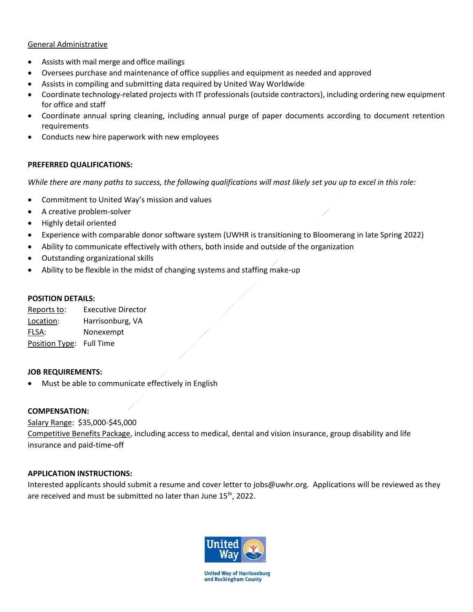### General Administrative

- Assists with mail merge and office mailings
- Oversees purchase and maintenance of office supplies and equipment as needed and approved
- Assists in compiling and submitting data required by United Way Worldwide
- Coordinate technology-related projects with IT professionals (outside contractors), including ordering new equipment for office and staff
- Coordinate annual spring cleaning, including annual purge of paper documents according to document retention requirements
- Conducts new hire paperwork with new employees

### **PREFERRED QUALIFICATIONS:**

*While there are many paths to success, the following qualifications will most likely set you up to excel in this role:*

- Commitment to United Way's mission and values
- A creative problem-solver
- Highly detail oriented
- Experience with comparable donor software system (UWHR is transitioning to Bloomerang in late Spring 2022)
- Ability to communicate effectively with others, both inside and outside of the organization
- Outstanding organizational skills
- Ability to be flexible in the midst of changing systems and staffing make-up

#### **POSITION DETAILS:**

Reports to: Executive Director Location: Harrisonburg, VA FLSA: Nonexempt Position Type: Full Time

### **JOB REQUIREMENTS:**

Must be able to communicate effectively in English

### **COMPENSATION:**

# Salary Range: \$35,000-\$45,000

Competitive Benefits Package, including access to medical, dental and vision insurance, group disability and life insurance and paid-time-off

# **APPLICATION INSTRUCTIONS:**

Interested applicants should submit a resume and cover letter to jobs@uwhr.org. Applications will be reviewed as they are received and must be submitted no later than June 15<sup>th</sup>, 2022.



**United Way of Harrisonburg** and Rockingham County